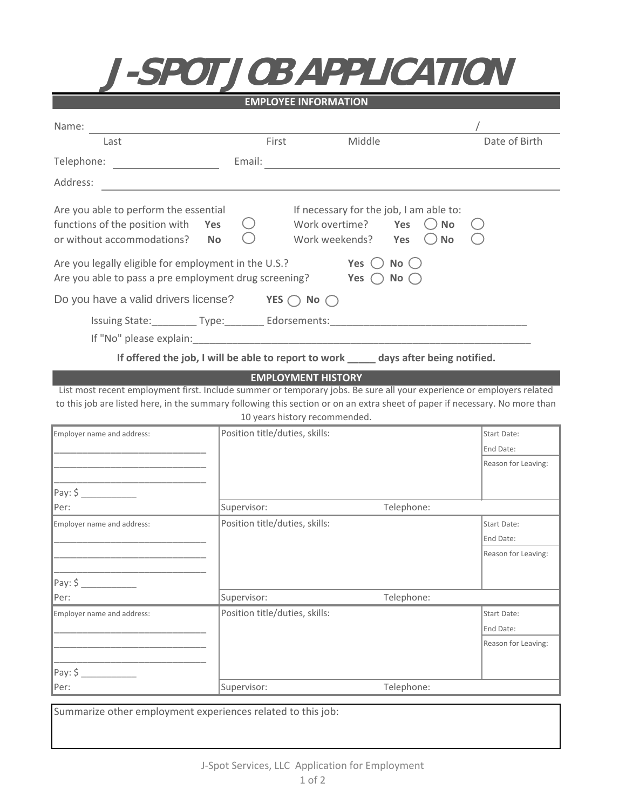1202 5th Ave **J-SPOT JOB APPLICATION**

| <b>EMPLOYEE INFORMATION</b>                                                                                                                                                                                                                |               |                                                                                                                                                         |               |  |  |  |
|--------------------------------------------------------------------------------------------------------------------------------------------------------------------------------------------------------------------------------------------|---------------|---------------------------------------------------------------------------------------------------------------------------------------------------------|---------------|--|--|--|
| Name:                                                                                                                                                                                                                                      |               |                                                                                                                                                         |               |  |  |  |
| Last                                                                                                                                                                                                                                       | First         | Middle                                                                                                                                                  | Date of Birth |  |  |  |
| Telephone:                                                                                                                                                                                                                                 | Email:        |                                                                                                                                                         |               |  |  |  |
| Address:                                                                                                                                                                                                                                   |               |                                                                                                                                                         |               |  |  |  |
| Are you able to perform the essential<br>functions of the position with<br>Yes<br>or without accommodations?<br><b>No</b><br>Are you legally eligible for employment in the U.S.?<br>Are you able to pass a pre employment drug screening? |               | If necessary for the job, I am able to:<br>Work overtime?<br>Yes<br><b>No</b><br>Work weekends?<br>Yes<br><b>No</b><br>No()<br>Yes<br>Yes (<br>$No$ ( ) |               |  |  |  |
| Do you have a valid drivers license?                                                                                                                                                                                                       | YES $\subset$ | No (                                                                                                                                                    |               |  |  |  |
| Issuing State: Type: Edorsements:                                                                                                                                                                                                          |               |                                                                                                                                                         |               |  |  |  |
| If "No" please explain:                                                                                                                                                                                                                    |               |                                                                                                                                                         |               |  |  |  |

**If offered the job, I will be able to report to work \_\_\_\_\_ days after being notified.**

## **EMPLOYMENT HISTORY**

List most recent employment first. Include summer or temporary jobs. Be sure all your experience or employers related to this job are listed here, in the summary following this section or on an extra sheet of paper if necessary. No more than 10 years history recommended.

| Employer name and address: | Position title/duties, skills: | Start Date:<br>End Date: |                     |
|----------------------------|--------------------------------|--------------------------|---------------------|
| Pay: \$                    |                                |                          | Reason for Leaving: |
| Per:                       | Supervisor:                    | Telephone:               |                     |
| Employer name and address: | Position title/duties, skills: |                          | Start Date:         |
|                            |                                |                          | End Date:           |
|                            |                                |                          | Reason for Leaving: |
|                            |                                |                          |                     |
| $\sqrt{Pay: $ \_$          |                                |                          |                     |
| Per:                       | Supervisor:                    | Telephone:               |                     |
| Employer name and address: | Position title/duties, skills: |                          | Start Date:         |
|                            |                                |                          | End Date:           |
|                            |                                |                          | Reason for Leaving: |
|                            |                                |                          |                     |
|                            |                                |                          |                     |
| Per:                       | Supervisor:                    | Telephone:               |                     |

Summarize other employment experiences related to this job: